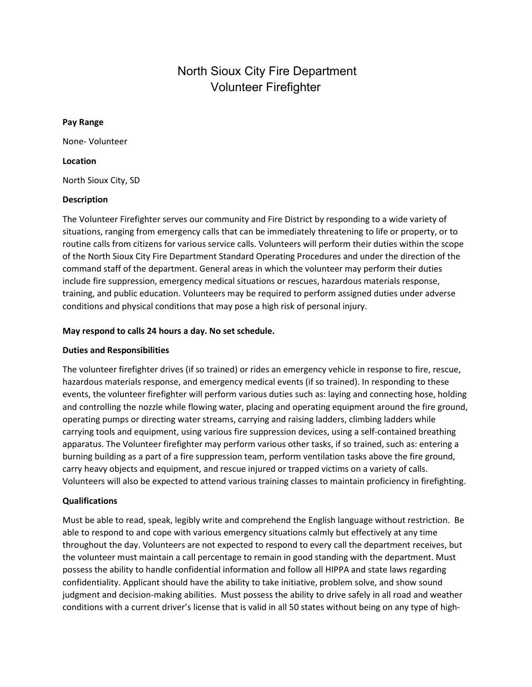# North Sioux City Fire Department Volunteer Firefighter

#### Pay Range

None- Volunteer

#### Location

North Sioux City, SD

## Description

The Volunteer Firefighter serves our community and Fire District by responding to a wide variety of situations, ranging from emergency calls that can be immediately threatening to life or property, or to routine calls from citizens for various service calls. Volunteers will perform their duties within the scope of the North Sioux City Fire Department Standard Operating Procedures and under the direction of the command staff of the department. General areas in which the volunteer may perform their duties include fire suppression, emergency medical situations or rescues, hazardous materials response, training, and public education. Volunteers may be required to perform assigned duties under adverse conditions and physical conditions that may pose a high risk of personal injury.

## May respond to calls 24 hours a day. No set schedule.

## Duties and Responsibilities

The volunteer firefighter drives (if so trained) or rides an emergency vehicle in response to fire, rescue, hazardous materials response, and emergency medical events (if so trained). In responding to these events, the volunteer firefighter will perform various duties such as: laying and connecting hose, holding and controlling the nozzle while flowing water, placing and operating equipment around the fire ground, operating pumps or directing water streams, carrying and raising ladders, climbing ladders while carrying tools and equipment, using various fire suppression devices, using a self-contained breathing apparatus. The Volunteer firefighter may perform various other tasks, if so trained, such as: entering a burning building as a part of a fire suppression team, perform ventilation tasks above the fire ground, carry heavy objects and equipment, and rescue injured or trapped victims on a variety of calls. Volunteers will also be expected to attend various training classes to maintain proficiency in firefighting.

## Qualifications

Must be able to read, speak, legibly write and comprehend the English language without restriction. Be able to respond to and cope with various emergency situations calmly but effectively at any time throughout the day. Volunteers are not expected to respond to every call the department receives, but the volunteer must maintain a call percentage to remain in good standing with the department. Must possess the ability to handle confidential information and follow all HIPPA and state laws regarding confidentiality. Applicant should have the ability to take initiative, problem solve, and show sound judgment and decision-making abilities. Must possess the ability to drive safely in all road and weather conditions with a current driver's license that is valid in all 50 states without being on any type of high